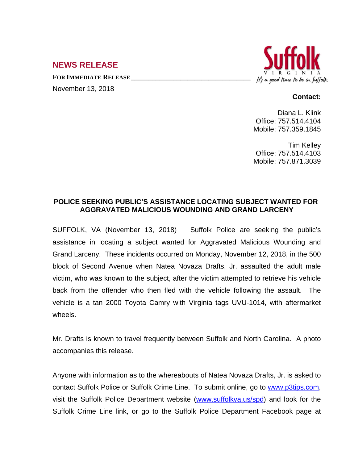## **NEWS RELEASE**

**FOR IMMEDIATE RELEASE \_\_\_\_\_\_\_\_\_\_\_\_\_\_\_\_\_\_\_\_\_\_\_\_\_\_\_\_\_\_\_\_\_\_**

November 13, 2018



## **Contact:**

Diana L. Klink Office: 757.514.4104 Mobile: 757.359.1845

Tim Kelley Office: 757.514.4103 Mobile: 757.871.3039

## **POLICE SEEKING PUBLIC'S ASSISTANCE LOCATING SUBJECT WANTED FOR AGGRAVATED MALICIOUS WOUNDING AND GRAND LARCENY**

SUFFOLK, VA (November 13, 2018) Suffolk Police are seeking the public's assistance in locating a subject wanted for Aggravated Malicious Wounding and Grand Larceny. These incidents occurred on Monday, November 12, 2018, in the 500 block of Second Avenue when Natea Novaza Drafts, Jr. assaulted the adult male victim, who was known to the subject, after the victim attempted to retrieve his vehicle back from the offender who then fled with the vehicle following the assault. The vehicle is a tan 2000 Toyota Camry with Virginia tags UVU-1014, with aftermarket wheels.

Mr. Drafts is known to travel frequently between Suffolk and North Carolina. A photo accompanies this release.

Anyone with information as to the whereabouts of Natea Novaza Drafts, Jr. is asked to contact Suffolk Police or Suffolk Crime Line. To submit online, go to [www.p3tips.com,](http://www.p3tips.com) visit the Suffolk Police Department website ([www.suffolkva.us/spd](http://www.suffolkva.us/spd)) and look for the Suffolk Crime Line link, or go to the Suffolk Police Department Facebook page at